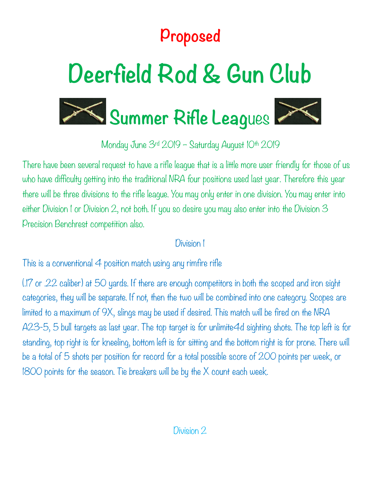## **Proposed**

# **Deerfield Rod & Gun Club**





Monday June 3rd 2019 - Saturday August 10th 2019

There have been several request to have a rifle league that is a little more user friendly for those of us who have difficulty getting into the traditional NRA four positions used last year. Therefore this year there will be three divisions to the rifle league. You may only enter in one division. You may enter into either Division I or Division 2, not both. If you so desire you may also enter into the Division 3 Precision Benchrest competition also.

#### Division 1

This is a conventional  $4$  position match using any rimfire rifle

(.17 or .22 caliber) at 50 yards. If there are enough competitors in both the scoped and iron sight categories, they will be separate. If not, then the two will be combined into one category. Scopes are limited to a maximum of 9X, slings may be used if desired. This match will be fired on the NRA A23-5, 5 bull targets as last year. The top target is for unlimite4d sighting shots. The top left is for standing, top right is for kneeling, bottom left is for sitting and the bottom right is for prone. There will be a total of 5 shots per position for record for a total possible score of 200 points per week, or 1800 points for the season. Tie breakers will be by the X count each week.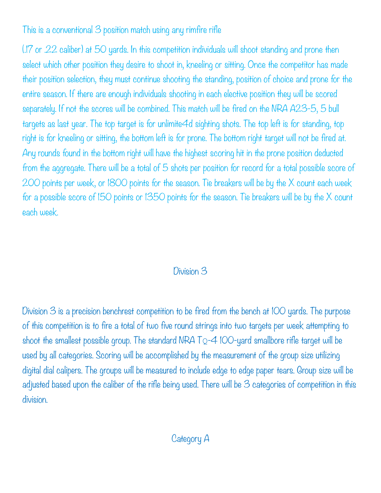This is a conventional 3 position match using any rimfire rifle

(.17 or .22 caliber) at 50 yards. In this competition individuals will shoot standing and prone then select which other position they desire to shoot in, kneeling or sitting. Once the competitor has made their position selection, they must continue shooting the standing, position of choice and prone for the entire season. If there are enough individuals shooting in each elective position they will be scored separately. If not the scores will be combined. This match will be fired on the NRA A23-5, 5 bull targets as last year. The top target is for unlimite4d sighting shots. The top left is for standing, top right is for kneeling or sitting, the bottom left is for prone. The bottom right target will not be fired at. Any rounds found in the bottom right will have the highest scoring hit in the prone position deducted from the aggregate. There will be a total of 5 shots per position for record for a total possible score of 200 points per week, or 1800 points for the season. Tie breakers will be by the X count each week for a possible score of 150 points or 1350 points for the season. Tie breakers will be by the X count each week.

#### Division 3

Division 3 is a precision benchrest competition to be fired from the bench at IOO yards. The purpose of this competition is to fire a total of two five round strings into two targets per week attempting to shoot the smallest possible group. The standard NRA TQ-4 100-yard smallbore rifle target will be used by all categories. Scoring will be accomplished by the measurement of the group size utilizing digital dial calipers. The groups will be measured to include edge to edge paper tears. Group size will be adjusted based upon the caliber of the rifle being used. There will be 3 categories of competition in this division.

### Category A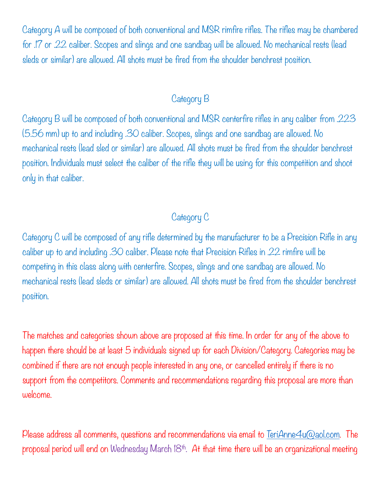Category A will be composed of both conventional and MSR rimfire rifles. The rifles may be chambered for .17 or .22 caliber. Scopes and slings and one sandbag will be allowed. No mechanical rests (lead sleds or similar) are allowed. All shots must be fired from the shoulder benchrest position.

#### Category B

Category B will be composed of both conventional and MSR centerfire rifles in any caliber from .223 (5.56 mm) up to and including .30 caliber. Scopes, slings and one sandbag are allowed. No mechanical rests (lead sled or similar) are allowed. All shots must be fired from the shoulder benchrest position. Individuals must select the caliber of the rifle they will be using for this competition and shoot only in that caliber.

#### Category C

Category C will be composed of any rifle determined by the manufacturer to be a Precision Rifle in any caliber up to and including .30 caliber. Please note that Precision Rifles in .22 rimfire will be competing in this class along with centerfire. Scopes, slings and one sandbag are allowed. No mechanical rests (lead sleds or similar) are allowed. All shots must be fired from the shoulder benchrest position.

The matches and categories shown above are proposed at this time. In order for any of the above to happen there should be at least 5 individuals signed up for each Division/Category. Categories may be combined if there are not enough people interested in any one, or cancelled entirely if there is no support from the competitors. Comments and recommendations regarding this proposal are more than welcome.

Please address all comments, questions and recommendations via email to [TeriAnne4u@aol.com](mailto:TeriAnne4u@aol.com). The proposal period will end on Wednesday March  $18<sup>th</sup>$ . At that time there will be an organizational meeting